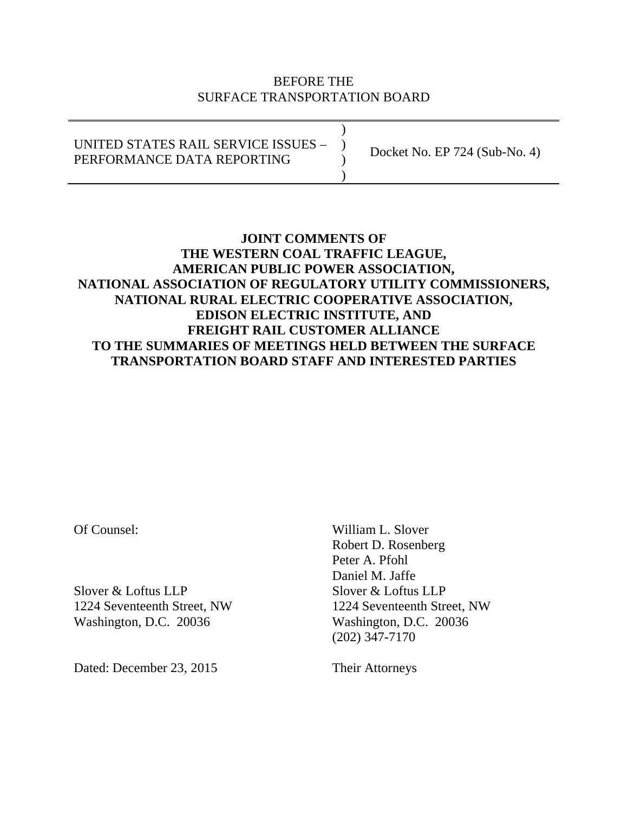### BEFORE THE SURFACE TRANSPORTATION BOARD

) UNITED STATES RAIL SERVICE ISSUES – ) PERFORMANCE DATA REPORTING ) Docket No. EP 724 (Sub-No. 4)

### **JOINT COMMENTS OF THE WESTERN COAL TRAFFIC LEAGUE, AMERICAN PUBLIC POWER ASSOCIATION, NATIONAL ASSOCIATION OF REGULATORY UTILITY COMMISSIONERS, NATIONAL RURAL ELECTRIC COOPERATIVE ASSOCIATION, EDISON ELECTRIC INSTITUTE, AND FREIGHT RAIL CUSTOMER ALLIANCE TO THE SUMMARIES OF MEETINGS HELD BETWEEN THE SURFACE TRANSPORTATION BOARD STAFF AND INTERESTED PARTIES**

Slover & Loftus LLP Slover & Loftus LLP 1224 Seventeenth Street, NW 1224 Seventeenth Street, NW Washington, D.C. 20036 Washington, D.C. 20036

Dated: December 23, 2015 Their Attorneys

Of Counsel: William L. Slover Robert D. Rosenberg Peter A. Pfohl Daniel M. Jaffe (202) 347-7170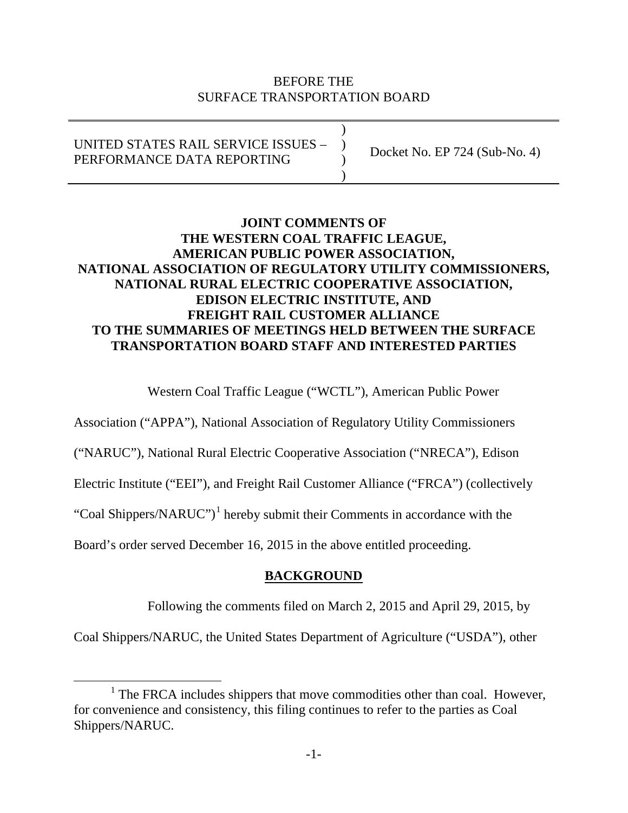### BEFORE THE SURFACE TRANSPORTATION BOARD

| UNITED STATES RAIL SERVICE ISSUES -<br>PERFORMANCE DATA REPORTING | Docket No. EP $724$ (Sub-No. 4) |
|-------------------------------------------------------------------|---------------------------------|
|-------------------------------------------------------------------|---------------------------------|

## **JOINT COMMENTS OF THE WESTERN COAL TRAFFIC LEAGUE, AMERICAN PUBLIC POWER ASSOCIATION, NATIONAL ASSOCIATION OF REGULATORY UTILITY COMMISSIONERS, NATIONAL RURAL ELECTRIC COOPERATIVE ASSOCIATION, EDISON ELECTRIC INSTITUTE, AND FREIGHT RAIL CUSTOMER ALLIANCE TO THE SUMMARIES OF MEETINGS HELD BETWEEN THE SURFACE TRANSPORTATION BOARD STAFF AND INTERESTED PARTIES**

Western Coal Traffic League ("WCTL"), American Public Power

Association ("APPA"), National Association of Regulatory Utility Commissioners

("NARUC"), National Rural Electric Cooperative Association ("NRECA"), Edison

Electric Institute ("EEI"), and Freight Rail Customer Alliance ("FRCA") (collectively

"Coal Shippers/NARUC")<sup>[1](#page-1-0)</sup> hereby submit their Comments in accordance with the

Board's order served December 16, 2015 in the above entitled proceeding.

# **BACKGROUND**

Following the comments filed on March 2, 2015 and April 29, 2015, by

Coal Shippers/NARUC, the United States Department of Agriculture ("USDA"), other

<span id="page-1-0"></span> $1$  The FRCA includes shippers that move commodities other than coal. However, for convenience and consistency, this filing continues to refer to the parties as Coal Shippers/NARUC.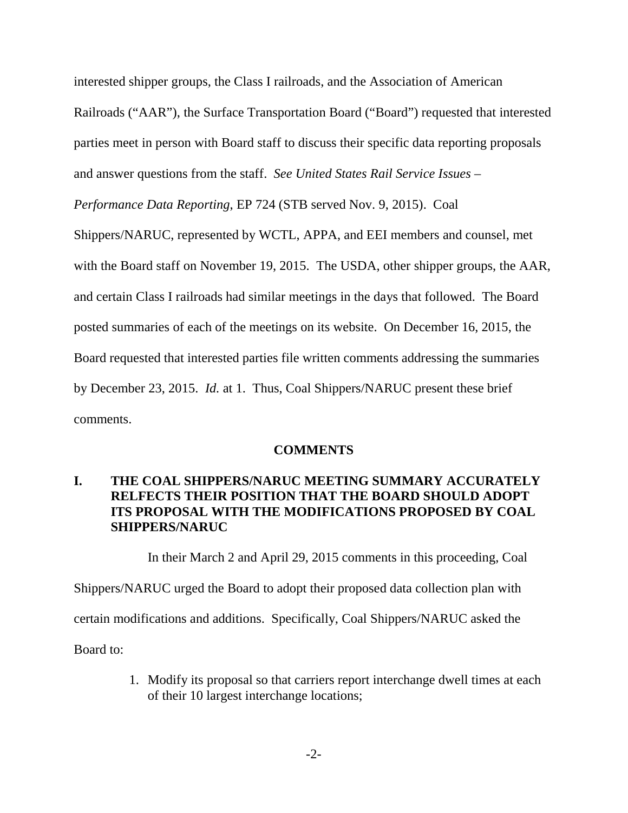interested shipper groups, the Class I railroads, and the Association of American Railroads ("AAR"), the Surface Transportation Board ("Board") requested that interested parties meet in person with Board staff to discuss their specific data reporting proposals and answer questions from the staff. *See United States Rail Service Issues –*

*Performance Data Reporting*, EP 724 (STB served Nov. 9, 2015). Coal

Shippers/NARUC, represented by WCTL, APPA, and EEI members and counsel, met with the Board staff on November 19, 2015. The USDA, other shipper groups, the AAR, and certain Class I railroads had similar meetings in the days that followed. The Board posted summaries of each of the meetings on its website. On December 16, 2015, the Board requested that interested parties file written comments addressing the summaries by December 23, 2015. *Id.* at 1. Thus, Coal Shippers/NARUC present these brief comments.

#### **COMMENTS**

### **I. THE COAL SHIPPERS/NARUC MEETING SUMMARY ACCURATELY RELFECTS THEIR POSITION THAT THE BOARD SHOULD ADOPT ITS PROPOSAL WITH THE MODIFICATIONS PROPOSED BY COAL SHIPPERS/NARUC**

In their March 2 and April 29, 2015 comments in this proceeding, Coal Shippers/NARUC urged the Board to adopt their proposed data collection plan with certain modifications and additions. Specifically, Coal Shippers/NARUC asked the Board to:

> 1. Modify its proposal so that carriers report interchange dwell times at each of their 10 largest interchange locations;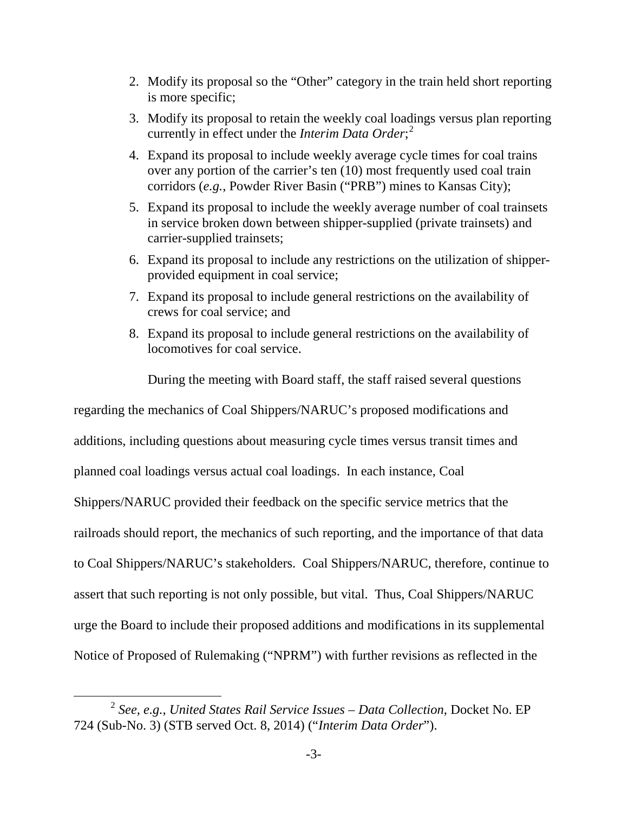- 2. Modify its proposal so the "Other" category in the train held short reporting is more specific;
- 3. Modify its proposal to retain the weekly coal loadings versus plan reporting currently in effect under the *Interim Data Order*; [2](#page-3-0)
- 4. Expand its proposal to include weekly average cycle times for coal trains over any portion of the carrier's ten (10) most frequently used coal train corridors (*e.g.*, Powder River Basin ("PRB") mines to Kansas City);
- 5. Expand its proposal to include the weekly average number of coal trainsets in service broken down between shipper-supplied (private trainsets) and carrier-supplied trainsets;
- 6. Expand its proposal to include any restrictions on the utilization of shipperprovided equipment in coal service;
- 7. Expand its proposal to include general restrictions on the availability of crews for coal service; and
- 8. Expand its proposal to include general restrictions on the availability of locomotives for coal service.

During the meeting with Board staff, the staff raised several questions

regarding the mechanics of Coal Shippers/NARUC's proposed modifications and additions, including questions about measuring cycle times versus transit times and planned coal loadings versus actual coal loadings. In each instance, Coal Shippers/NARUC provided their feedback on the specific service metrics that the railroads should report, the mechanics of such reporting, and the importance of that data to Coal Shippers/NARUC's stakeholders. Coal Shippers/NARUC, therefore, continue to assert that such reporting is not only possible, but vital. Thus, Coal Shippers/NARUC urge the Board to include their proposed additions and modifications in its supplemental Notice of Proposed of Rulemaking ("NPRM") with further revisions as reflected in the

<span id="page-3-0"></span> <sup>2</sup> *See, e.g.*, *United States Rail Service Issues – Data Collection*, Docket No. EP 724 (Sub-No. 3) (STB served Oct. 8, 2014) ("*Interim Data Order*").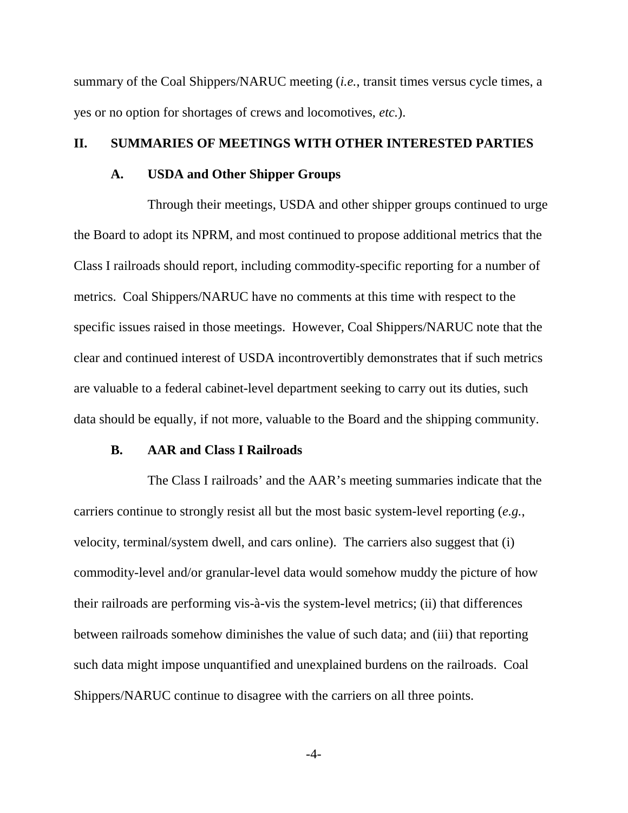summary of the Coal Shippers/NARUC meeting (*i.e.*, transit times versus cycle times, a yes or no option for shortages of crews and locomotives, *etc.*).

#### **II. SUMMARIES OF MEETINGS WITH OTHER INTERESTED PARTIES**

#### **A. USDA and Other Shipper Groups**

Through their meetings, USDA and other shipper groups continued to urge the Board to adopt its NPRM, and most continued to propose additional metrics that the Class I railroads should report, including commodity-specific reporting for a number of metrics. Coal Shippers/NARUC have no comments at this time with respect to the specific issues raised in those meetings. However, Coal Shippers/NARUC note that the clear and continued interest of USDA incontrovertibly demonstrates that if such metrics are valuable to a federal cabinet-level department seeking to carry out its duties, such data should be equally, if not more, valuable to the Board and the shipping community.

#### **B. AAR and Class I Railroads**

The Class I railroads' and the AAR's meeting summaries indicate that the carriers continue to strongly resist all but the most basic system-level reporting (*e.g.*, velocity, terminal/system dwell, and cars online). The carriers also suggest that (i) commodity-level and/or granular-level data would somehow muddy the picture of how their railroads are performing vis-à-vis the system-level metrics; (ii) that differences between railroads somehow diminishes the value of such data; and (iii) that reporting such data might impose unquantified and unexplained burdens on the railroads. Coal Shippers/NARUC continue to disagree with the carriers on all three points.

-4-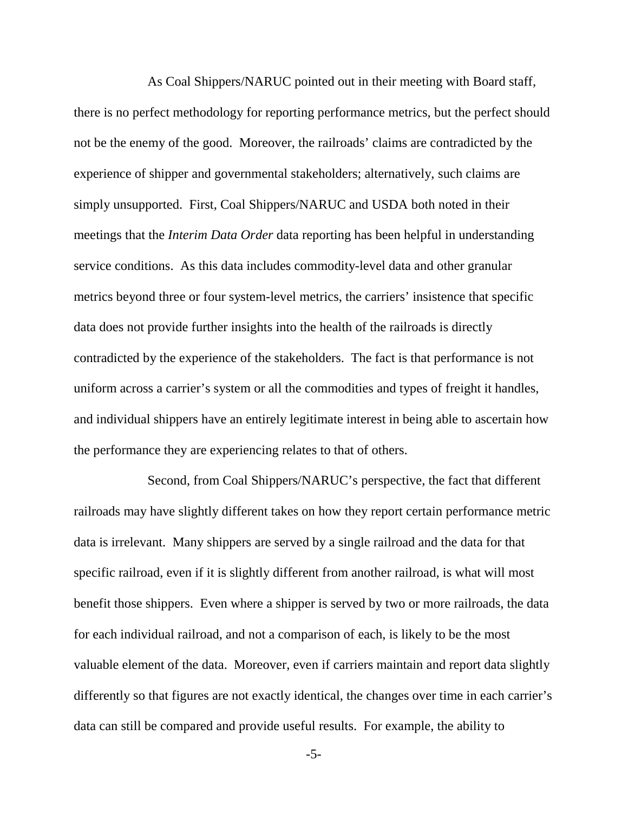As Coal Shippers/NARUC pointed out in their meeting with Board staff, there is no perfect methodology for reporting performance metrics, but the perfect should not be the enemy of the good. Moreover, the railroads' claims are contradicted by the experience of shipper and governmental stakeholders; alternatively, such claims are simply unsupported. First, Coal Shippers/NARUC and USDA both noted in their meetings that the *Interim Data Order* data reporting has been helpful in understanding service conditions. As this data includes commodity-level data and other granular metrics beyond three or four system-level metrics, the carriers' insistence that specific data does not provide further insights into the health of the railroads is directly contradicted by the experience of the stakeholders. The fact is that performance is not uniform across a carrier's system or all the commodities and types of freight it handles, and individual shippers have an entirely legitimate interest in being able to ascertain how the performance they are experiencing relates to that of others.

Second, from Coal Shippers/NARUC's perspective, the fact that different railroads may have slightly different takes on how they report certain performance metric data is irrelevant. Many shippers are served by a single railroad and the data for that specific railroad, even if it is slightly different from another railroad, is what will most benefit those shippers. Even where a shipper is served by two or more railroads, the data for each individual railroad, and not a comparison of each, is likely to be the most valuable element of the data. Moreover, even if carriers maintain and report data slightly differently so that figures are not exactly identical, the changes over time in each carrier's data can still be compared and provide useful results. For example, the ability to

-5-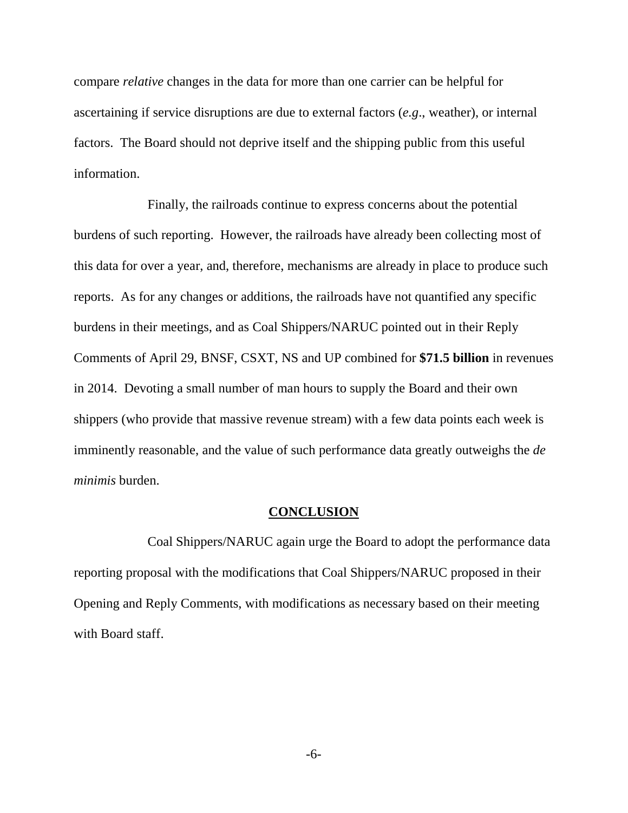compare *relative* changes in the data for more than one carrier can be helpful for ascertaining if service disruptions are due to external factors (*e.g*., weather), or internal factors. The Board should not deprive itself and the shipping public from this useful information.

Finally, the railroads continue to express concerns about the potential burdens of such reporting. However, the railroads have already been collecting most of this data for over a year, and, therefore, mechanisms are already in place to produce such reports. As for any changes or additions, the railroads have not quantified any specific burdens in their meetings, and as Coal Shippers/NARUC pointed out in their Reply Comments of April 29, BNSF, CSXT, NS and UP combined for **\$71.5 billion** in revenues in 2014. Devoting a small number of man hours to supply the Board and their own shippers (who provide that massive revenue stream) with a few data points each week is imminently reasonable, and the value of such performance data greatly outweighs the *de minimis* burden.

#### **CONCLUSION**

Coal Shippers/NARUC again urge the Board to adopt the performance data reporting proposal with the modifications that Coal Shippers/NARUC proposed in their Opening and Reply Comments, with modifications as necessary based on their meeting with Board staff.